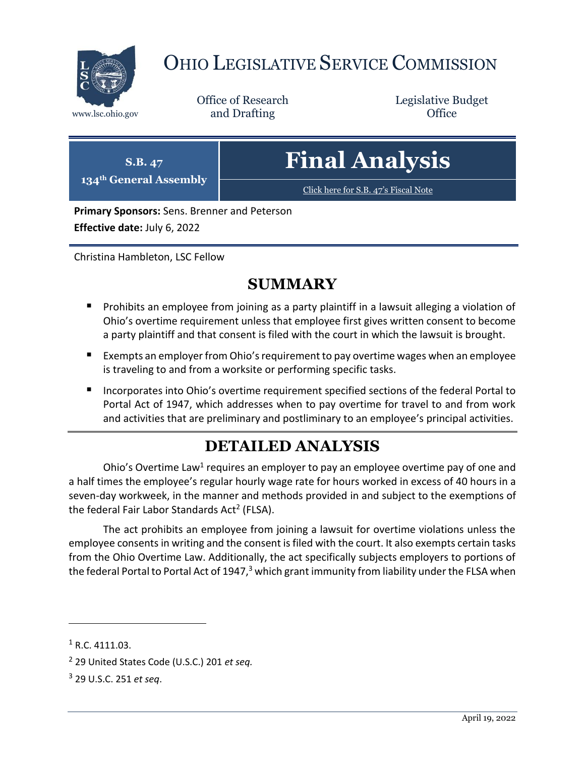

# OHIO LEGISLATIVE SERVICE COMMISSION

Office of Research www.lsc.ohio.gov **and Drafting Office** 

Legislative Budget

## **S.B. 47 134th General Assembly Final Analysis** [Click here for S.B. 47](https://www.legislature.ohio.gov/legislation/legislation-documents?id=GA134-SB-47)'s Fiscal Note

**Primary Sponsors:** Sens. Brenner and Peterson

**Effective date:** July 6, 2022

Christina Hambleton, LSC Fellow

# **SUMMARY**

- **Prohibits an employee from joining as a party plaintiff in a lawsuit alleging a violation of** Ohio's overtime requirement unless that employee first gives written consent to become a party plaintiff and that consent is filed with the court in which the lawsuit is brought.
- Exempts an employer from Ohio's requirement to pay overtime wages when an employee is traveling to and from a worksite or performing specific tasks.
- Incorporates into Ohio's overtime requirement specified sections of the federal Portal to Portal Act of 1947, which addresses when to pay overtime for travel to and from work and activities that are preliminary and postliminary to an employee's principal activities.

# **DETAILED ANALYSIS**

Ohio's Overtime Law<sup>1</sup> requires an employer to pay an employee overtime pay of one and a half times the employee's regular hourly wage rate for hours worked in excess of 40 hours in a seven-day workweek, in the manner and methods provided in and subject to the exemptions of the federal Fair Labor Standards Act<sup>2</sup> (FLSA).

The act prohibits an employee from joining a lawsuit for overtime violations unless the employee consents in writing and the consent is filed with the court. It also exempts certain tasks from the Ohio Overtime Law. Additionally, the act specifically subjects employers to portions of the federal Portal to Portal Act of 1947, $3$  which grant immunity from liability under the FLSA when

 $1 R.C. 4111.03.$ 

<sup>2</sup> 29 United States Code (U.S.C.) 201 *et seq.*

<sup>3</sup> 29 U.S.C. 251 *et seq*.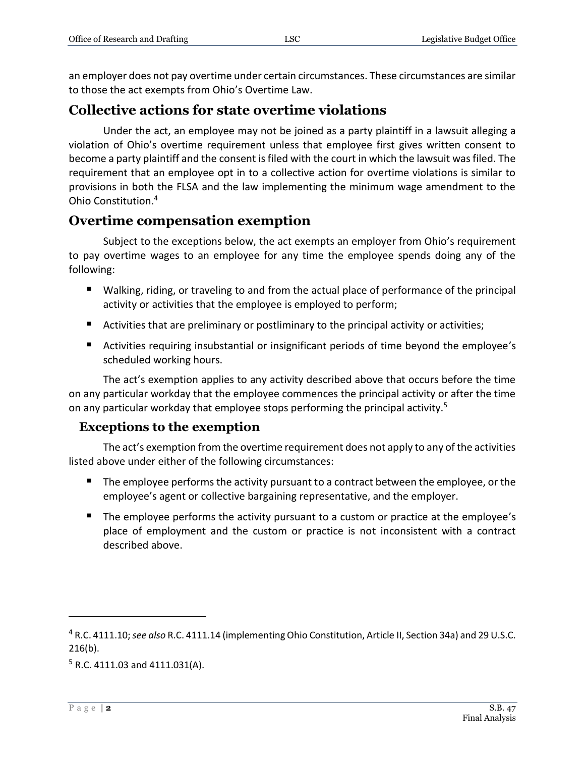an employer does not pay overtime under certain circumstances. These circumstances are similar to those the act exempts from Ohio's Overtime Law.

#### **Collective actions for state overtime violations**

Under the act, an employee may not be joined as a party plaintiff in a lawsuit alleging a violation of Ohio's overtime requirement unless that employee first gives written consent to become a party plaintiff and the consent is filed with the court in which the lawsuit was filed. The requirement that an employee opt in to a collective action for overtime violations is similar to provisions in both the FLSA and the law implementing the minimum wage amendment to the Ohio Constitution.<sup>4</sup>

### **Overtime compensation exemption**

Subject to the exceptions below, the act exempts an employer from Ohio's requirement to pay overtime wages to an employee for any time the employee spends doing any of the following:

- Walking, riding, or traveling to and from the actual place of performance of the principal activity or activities that the employee is employed to perform;
- Activities that are preliminary or postliminary to the principal activity or activities;
- Activities requiring insubstantial or insignificant periods of time beyond the employee's scheduled working hours.

The act's exemption applies to any activity described above that occurs before the time on any particular workday that the employee commences the principal activity or after the time on any particular workday that employee stops performing the principal activity.<sup>5</sup>

#### **Exceptions to the exemption**

The act's exemption from the overtime requirement does not apply to any of the activities listed above under either of the following circumstances:

- The employee performs the activity pursuant to a contract between the employee, or the employee's agent or collective bargaining representative, and the employer.
- The employee performs the activity pursuant to a custom or practice at the employee's place of employment and the custom or practice is not inconsistent with a contract described above.

<sup>4</sup> R.C. 4111.10; *see also* R.C. 4111.14 (implementing Ohio Constitution, Article II, Section 34a) and 29 U.S.C. 216(b).

 $5$  R.C. 4111.03 and 4111.031(A).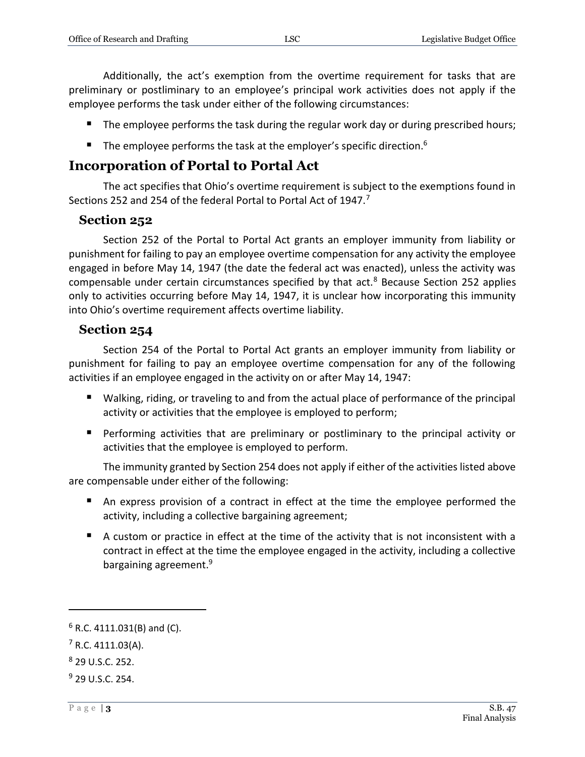Additionally, the act's exemption from the overtime requirement for tasks that are preliminary or postliminary to an employee's principal work activities does not apply if the employee performs the task under either of the following circumstances:

- The employee performs the task during the regular work day or during prescribed hours;
- The employee performs the task at the employer's specific direction.<sup>6</sup>

### **Incorporation of Portal to Portal Act**

The act specifies that Ohio's overtime requirement is subject to the exemptions found in Sections 252 and 254 of the federal Portal to Portal Act of 1947.<sup>7</sup>

#### **Section 252**

Section 252 of the Portal to Portal Act grants an employer immunity from liability or punishment for failing to pay an employee overtime compensation for any activity the employee engaged in before May 14, 1947 (the date the federal act was enacted), unless the activity was compensable under certain circumstances specified by that  $act.^8$  Because Section 252 applies only to activities occurring before May 14, 1947, it is unclear how incorporating this immunity into Ohio's overtime requirement affects overtime liability.

#### **Section 254**

Section 254 of the Portal to Portal Act grants an employer immunity from liability or punishment for failing to pay an employee overtime compensation for any of the following activities if an employee engaged in the activity on or after May 14, 1947:

- Walking, riding, or traveling to and from the actual place of performance of the principal activity or activities that the employee is employed to perform;
- **Performing activities that are preliminary or postliminary to the principal activity or** activities that the employee is employed to perform.

The immunity granted by Section 254 does not apply if either of the activities listed above are compensable under either of the following:

- An express provision of a contract in effect at the time the employee performed the activity, including a collective bargaining agreement;
- A custom or practice in effect at the time of the activity that is not inconsistent with a contract in effect at the time the employee engaged in the activity, including a collective bargaining agreement.<sup>9</sup>

 $6$  R.C. 4111.031(B) and (C).

 $7$  R.C. 4111.03(A).

<sup>8</sup> 29 U.S.C. 252.

 $9$  29 U.S.C. 254.